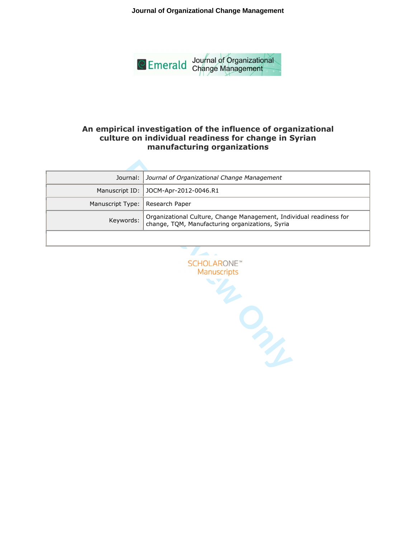**Journal of Organizational Change Management**



# **An empirical investigation of the influence of organizational culture on individual readiness for change in Syrian manufacturing organizations**

|                                   | Journal:   Journal of Organizational Change Management                                                              |
|-----------------------------------|---------------------------------------------------------------------------------------------------------------------|
|                                   | Manuscript ID:   JOCM-Apr-2012-0046.R1                                                                              |
| Manuscript Type:   Research Paper |                                                                                                                     |
| Keywords:                         | Organizational Culture, Change Management, Individual readiness for change, TQM, Manufacturing organizations, Syria |
|                                   |                                                                                                                     |

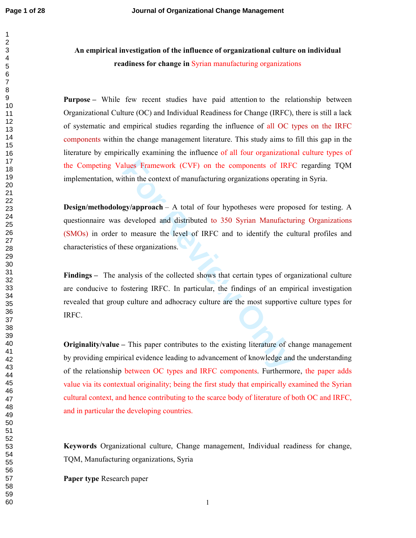# **An empirical investigation of the influence of organizational culture on individual readiness for change in** Syrian manufacturing organizations

**Purpose** – While few recent studies have paid attention to the relationship between Organizational Culture (OC) and Individual Readiness for Change (IRFC), there is still a lack of systematic and empirical studies regarding the influence of all OC types on the IRFC components within the change management literature. This study aims to fill this gap in the literature by empirically examining the influence of all four organizational culture types of the Competing Values Framework (CVF) on the components of IRFC regarding TQM implementation, within the context of manufacturing organizations operating in Syria.

**Examember 14 Framework** (CVF) on the components of IRF<br> **Example 16 EXPLUM**<br> **EXPLUMATEL EXPLUMATELY**<br> **EXPLUMATELY**<br> **EXPLUMATELY**<br> **EXPLUMATELY**<br> **EXPLUMATELY**<br> **EXPLUMATELY**<br> **EXPLUMATELY**<br> **EXPLUMATELY**<br> **EXPLUMAT Design/methodology/approach** – A total of four hypotheses were proposed for testing. A questionnaire was developed and distributed to 350 Syrian Manufacturing Organizations (SMOs) in order to measure the level of IRFC and to identify the cultural profiles and characteristics of these organizations.

Findings – The analysis of the collected shows that certain types of organizational culture are conducive to fostering IRFC. In particular, the findings of an empirical investigation revealed that group culture and adhocracy culture are the most supportive culture types for IRFC.

**Originality/value –** This paper contributes to the existing literature of change management by providing empirical evidence leading to advancement of knowledge and the understanding of the relationship between OC types and IRFC components. Furthermore, the paper adds value via its contextual originality; being the first study that empirically examined the Syrian cultural context, and hence contributing to the scarce body of literature of both OC and IRFC, and in particular the developing countries.

**Keywords** Organizational culture, Change management, Individual readiness for change, TQM, Manufacturing organizations, Syria

**Paper type** Research paper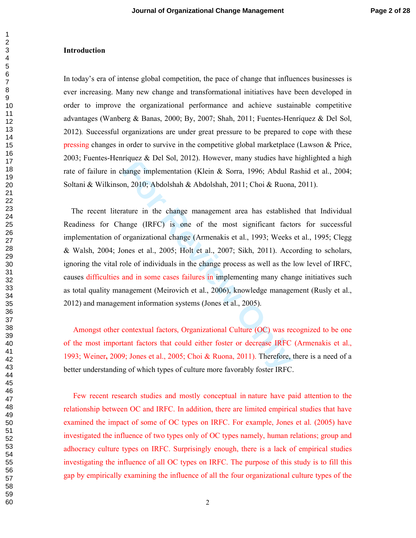#### **Introduction**

In today's era of intense global competition, the pace of change that influences businesses is ever increasing. Many new change and transformational initiatives have been developed in order to improve the organizational performance and achieve sustainable competitive advantages (Wanberg & Banas, 2000; By, 2007; Shah, 2011; Fuentes-Henríquez & Del Sol, 2012)*.* Successful organizations are under great pressure to be prepared to cope with these pressing changes in order to survive in the competitive global marketplace (Lawson & Price, 2003; Fuentes-Henríquez & Del Sol, 2012). However, many studies have highlighted a high rate of failure in change implementation (Klein & Sorra, 1996; Abdul Rashid et al., 2004; Soltani & Wilkinson, 2010; Abdolshah & Abdolshah, 2011; Choi & Ruona, 2011).

Figure 2. Det 50t, 2012). However, many staties have<br>hange implementation (Klein & Sorra, 1996; Abdul R<br>m, 2010; Abdolshah & Abdolshah, 2011; Choi & Ruona<br>ature in the change management area has establish<br>ange (IRFC) is on The recent literature in the change management area has established that Individual Readiness for Change (IRFC) is one of the most significant factors for successful implementation of organizational change (Armenakis et al., 1993; Weeks et al., 1995; Clegg & Walsh, 2004; Jones et al., 2005; Holt et al., 2007; Sikh, 2011). According to scholars, ignoring the vital role of individuals in the change process as well as the low level of IRFC, causes difficulties and in some cases failures in implementing many change initiatives such as total quality management (Meirovich et al., 2006), knowledge management (Rusly et al., 2012) and management information systems (Jones et al., 2005).

 Amongst other contextual factors, Organizational Culture (OC) was recognized to be one of the most important factors that could either foster or decrease IRFC (Armenakis et al., 1993; Weiner **,** 2009; Jones et al., 2005; Choi & Ruona, 2011). Therefore, there is a need of a better understanding of which types of culture more favorably foster IRFC.

 Few recent research studies and mostly conceptual in nature have paid attention to the relationship between OC and IRFC. In addition, there are limited empirical studies that have examined the impact of some of OC types on IRFC. For example, Jones et al. (2005) have investigated the influence of two types only of OC types namely, human relations; group and adhocracy culture types on IRFC. Surprisingly enough, there is a lack of empirical studies investigating the influence of all OC types on IRFC. The purpose of this study is to fill this gap by empirically examining the influence of all the four organizational culture types of the

 $\mathbf{1}$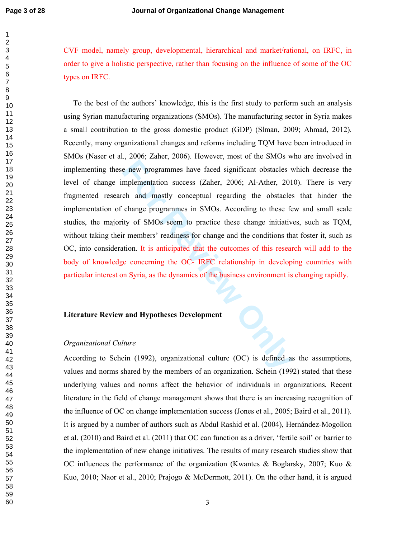$\mathbf{1}$  $\overline{2}$ 

CVF model, namely group, developmental, hierarchical and market/rational, on IRFC, in order to give a holistic perspective, rather than focusing on the influence of some of the OC types on IRFC.

e new programmes have faced significant obstacles v<br>mplementation success (Zaher, 2006; Al-Ather, 201<br>ch and mostly conceptual regarding the obstacles<br>change programmes in SMOs. According to these fe<br>tity of SMOs seem to p To the best of the authors' knowledge, this is the first study to perform such an analysis using Syrian manufacturing organizations (SMOs). The manufacturing sector in Syria makes a small contribution to the gross domestic product (GDP) (Slman, 2009; Ahmad, 2012). Recently, many organizational changes and reforms including TQM have been introduced in SMOs (Naser et al., 2006; Zaher, 2006). However, most of the SMOs who are involved in implementing these new programmes have faced significant obstacles which decrease the level of change implementation success (Zaher, 2006; Al-Ather, 2010). There is very fragmented research and mostly conceptual regarding the obstacles that hinder the implementation of change programmes in SMOs. According to these few and small scale studies, the majority of SMOs seem to practice these change initiatives, such as TQM, without taking their members' readiness for change and the conditions that foster it, such as OC, into consideration. It is anticipated that the outcomes of this research will add to the body of knowledge concerning the OC- IRFC relationship in developing countries with particular interest on Syria, as the dynamics of the business environment is changing rapidly.

### **Literature Review and Hypotheses Development**

#### *Organizational Culture*

According to Schein (1992), organizational culture (OC) is defined as the assumptions, values and norms shared by the members of an organization. Schein (1992) stated that these underlying values and norms affect the behavior of individuals in organizations. Recent literature in the field of change management shows that there is an increasing recognition of the influence of OC on change implementation success (Jones et al., 2005; Baird et al., 2011). It is argued by a number of authors such as Abdul Rashid et al. (2004), Hernández-Mogollon et al. (2010) and Baird et al. (2011) that OC can function as a driver, 'fertile soil' or barrier to the implementation of new change initiatives. The results of many research studies show that OC influences the performance of the organization (Kwantes & Boglarsky, 2007; Kuo & Kuo, 2010; Naor et al., 2010; Prajogo & McDermott, 2011). On the other hand, it is argued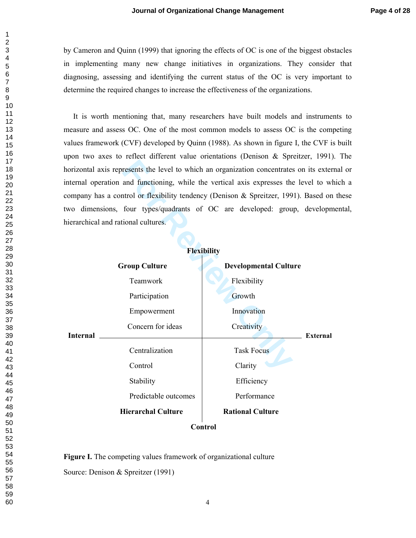by Cameron and Quinn (1999) that ignoring the effects of OC is one of the biggest obstacles in implementing many new change initiatives in organizations. They consider that diagnosing, assessing and identifying the current status of the OC is very important to determine the required changes to increase the effectiveness of the organizations.

 It is worth mentioning that, many researchers have built models and instruments to measure and assess OC. One of the most common models to assess OC is the competing values framework (CVF) developed by Quinn (1988). As shown in figure I, the CVF is built upon two axes to reflect different value orientations (Denison & Spreitzer, 1991). The horizontal axis represents the level to which an organization concentrates on its external or internal operation and functioning, while the vertical axis expresses the level to which a company has a control or flexibility tendency (Denison & Spreitzer, 1991). Based on these two dimensions, four types/quadrants of OC are developed: group, developmental, hierarchical and rational cultures.

|                                                                                       | horizontal axis represents the level to which an organization concentrates on its exter |                              |                 |  |  |  |  |  |
|---------------------------------------------------------------------------------------|-----------------------------------------------------------------------------------------|------------------------------|-----------------|--|--|--|--|--|
| internal operation and functioning, while the vertical axis expresses the level to wl |                                                                                         |                              |                 |  |  |  |  |  |
|                                                                                       | company has a control or flexibility tendency (Denison & Spreitzer, 1991). Based on     |                              |                 |  |  |  |  |  |
| two dimensions, four types/quadrants of OC are developed: group, developm             |                                                                                         |                              |                 |  |  |  |  |  |
|                                                                                       | hierarchical and rational cultures.                                                     |                              |                 |  |  |  |  |  |
|                                                                                       |                                                                                         |                              |                 |  |  |  |  |  |
|                                                                                       |                                                                                         | <b>Flexibility</b>           |                 |  |  |  |  |  |
|                                                                                       | <b>Group Culture</b>                                                                    | <b>Developmental Culture</b> |                 |  |  |  |  |  |
|                                                                                       | Teamwork                                                                                | Flexibility                  |                 |  |  |  |  |  |
| <b>Internal</b>                                                                       | Participation                                                                           | Growth                       |                 |  |  |  |  |  |
|                                                                                       | Empowerment                                                                             | Innovation                   |                 |  |  |  |  |  |
|                                                                                       | Concern for ideas                                                                       | Creativity                   | <b>External</b> |  |  |  |  |  |
|                                                                                       | Centralization                                                                          | <b>Task Focus</b>            |                 |  |  |  |  |  |
|                                                                                       | Control                                                                                 | Clarity                      |                 |  |  |  |  |  |
|                                                                                       | Stability                                                                               | Efficiency                   |                 |  |  |  |  |  |
|                                                                                       | Predictable outcomes                                                                    | Performance                  |                 |  |  |  |  |  |
|                                                                                       | <b>Hierarchal Culture</b>                                                               | <b>Rational Culture</b>      |                 |  |  |  |  |  |
| Control                                                                               |                                                                                         |                              |                 |  |  |  |  |  |

**Figure I.** The competing values framework of organizational culture Source: Denison & Spreitzer (1991)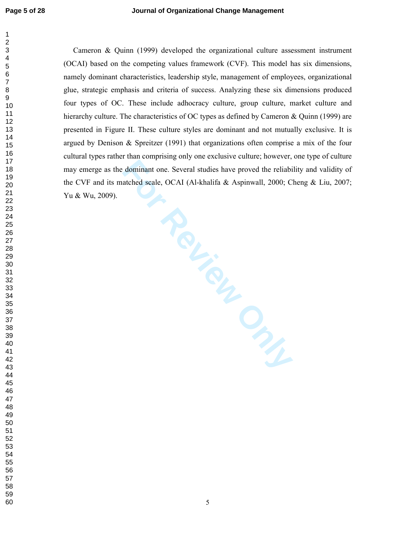**FRELLIGHTONY**  Cameron & Quinn (1999) developed the organizational culture assessment instrument (OCAI) based on the competing values framework (CVF). This model has six dimensions, namely dominant characteristics, leadership style, management of employees, organizational glue, strategic emphasis and criteria of success. Analyzing these six dimensions produced four types of OC. These include adhocracy culture, group culture, market culture and hierarchy culture. The characteristics of OC types as defined by Cameron & Quinn (1999) are presented in Figure II. These culture styles are dominant and not mutually exclusive. It is argued by Denison & Spreitzer (1991) that organizations often comprise a mix of the four cultural types rather than comprising only one exclusive culture; however, one type of culture may emerge as the dominant one. Several studies have proved the reliability and validity of the CVF and its matched scale, OCAI (Al-khalifa & Aspinwall, 2000; Cheng & Liu, 2007; Yu & Wu, 2009).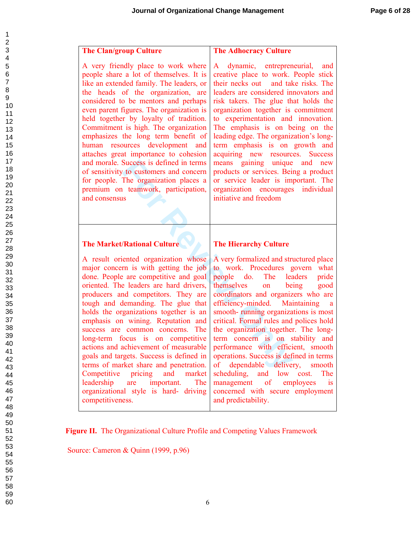| 1                        |
|--------------------------|
|                          |
|                          |
|                          |
|                          |
|                          |
|                          |
|                          |
|                          |
|                          |
|                          |
|                          |
|                          |
|                          |
|                          |
|                          |
|                          |
|                          |
|                          |
|                          |
|                          |
|                          |
|                          |
|                          |
|                          |
|                          |
|                          |
|                          |
|                          |
|                          |
|                          |
|                          |
|                          |
|                          |
|                          |
|                          |
|                          |
|                          |
|                          |
|                          |
|                          |
|                          |
|                          |
| 40                       |
| $\ddot{4}$<br>1          |
| $\overline{4}$           |
| 4.                       |
| 44                       |
| 45                       |
| 46                       |
| 47                       |
| 48                       |
|                          |
| 49                       |
| 50                       |
| 5<br>1                   |
| E<br>ĭ<br>$\overline{ }$ |
| E<br>X<br>3              |
| 54                       |
| 55                       |
| 56<br>ć                  |
| 57<br>E                  |
| 58                       |
|                          |
| 59                       |
| 60                       |

| <b>The Clan/group Culture</b>                                                                                                                                                                                                                                                                                                                                                                                                                                                                                                                                                                                                                                             | <b>The Adhocracy Culture</b>                                                                                                                                                                                                                                                                                                                                                                                                                                                                                                                                                                                                                                 |  |  |  |  |
|---------------------------------------------------------------------------------------------------------------------------------------------------------------------------------------------------------------------------------------------------------------------------------------------------------------------------------------------------------------------------------------------------------------------------------------------------------------------------------------------------------------------------------------------------------------------------------------------------------------------------------------------------------------------------|--------------------------------------------------------------------------------------------------------------------------------------------------------------------------------------------------------------------------------------------------------------------------------------------------------------------------------------------------------------------------------------------------------------------------------------------------------------------------------------------------------------------------------------------------------------------------------------------------------------------------------------------------------------|--|--|--|--|
| A very friendly place to work where<br>people share a lot of themselves. It is<br>like an extended family. The leaders, or<br>the heads of the organization, are<br>considered to be mentors and perhaps<br>even parent figures. The organization is<br>held together by loyalty of tradition.<br>Commitment is high. The organization<br>emphasizes the long term benefit of<br>human resources development and<br>attaches great importance to cohesion<br>and morale. Success is defined in terms<br>of sensitivity to customers and concern<br>for people. The organization places a<br>premium on teamwork, participation,<br>and consensus                          | dynamic, entrepreneurial,<br>A<br>and<br>creative place to work. People stick<br>their necks out and take risks. The<br>leaders are considered innovators and<br>risk takers. The glue that holds the<br>organization together is commitment<br>to experimentation and innovation.<br>The emphasis is on being on the<br>leading edge. The organization's long-<br>term emphasis is on growth and<br>acquiring new resources. Success<br>means gaining unique and new<br>products or services. Being a product<br>or service leader is important. The<br>organization encourages individual<br>initiative and freedom                                        |  |  |  |  |
| <b>The Market/Rational Culture</b>                                                                                                                                                                                                                                                                                                                                                                                                                                                                                                                                                                                                                                        | <b>The Hierarchy Culture</b>                                                                                                                                                                                                                                                                                                                                                                                                                                                                                                                                                                                                                                 |  |  |  |  |
| A result oriented organization whose<br>major concern is with getting the job<br>done. People are competitive and goal<br>oriented. The leaders are hard drivers,<br>producers and competitors. They are<br>tough and demanding. The glue that<br>holds the organizations together is an<br>emphasis on wining. Reputation and<br>success are common concerns. The<br>long-term focus is on competitive<br>actions and achievement of measurable<br>goals and targets. Success is defined in<br>terms of market share and penetration.<br>Competitive pricing and market<br>leadership are important.<br>The<br>organizational style is hard- driving<br>competitiveness. | A very formalized and structured place<br>to work. Procedures govern what<br>The leaders<br>people do.<br>pride<br>themselves<br>being<br>good<br>on<br>coordinators and organizers who are<br>efficiency-minded. Maintaining<br><sub>a</sub><br>smooth-running organizations is most<br>critical. Formal rules and polices hold<br>the organization together. The long-<br>term concern is on stability<br>and<br>performance with efficient, smooth<br>operations. Success is defined in terms<br>of dependable delivery, smooth<br>scheduling, and low cost. The<br>management of employees is<br>concerned with secure employment<br>and predictability. |  |  |  |  |

 **Figure II.** The Organizational Culture Profile and Competing Values Framework

Source: Cameron & Quinn (1999, p.96)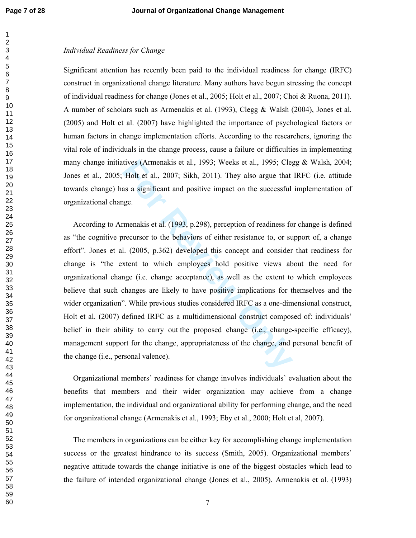## *Individual Readiness for Change*

Significant attention has recently been paid to the individual readiness for change (IRFC) construct in organizational change literature. Many authors have begun stressing the concept of individual readiness for change (Jones et al., 2005; Holt et al., 2007; Choi & Ruona, 2011). A number of scholars such as Armenakis et al. (1993), Clegg & Walsh (2004), Jones et al. (2005) and Holt et al. (2007) have highlighted the importance of psychological factors or human factors in change implementation efforts. According to the researchers, ignoring the vital role of individuals in the change process, cause a failure or difficulties in implementing many change initiatives (Armenakis et al., 1993; Weeks et al., 1995; Clegg & Walsh, 2004; Jones et al., 2005; Holt et al., 2007; Sikh, 2011). They also argue that IRFC (i.e. attitude towards change) has a significant and positive impact on the successful implementation of organizational change.

tives (Armenakis et al., 1993; Weeks et al., 1995; Cle<sub>1</sub><br>
Holt et al., 2007; Sikh, 2011). They also argue that<br>
as a significant and positive impact on the successful<br>
gge.<br>
Franchakis et al. (1993, p.298), perception of According to Armenakis et al. (1993, p.298), perception of readiness for change is defined as "the cognitive precursor to the behaviors of either resistance to, or support of, a change effort". Jones et al. (2005, p.362) developed this concept and consider that readiness for change is "the extent to which employees hold positive views about the need for organizational change (i.e. change acceptance), as well as the extent to which employees believe that such changes are likely to have positive implications for themselves and the wider organization". While previous studies considered IRFC as a one-dimensional construct, Holt et al. (2007) defined IRFC as a multidimensional construct composed of: individuals' belief in their ability to carry out the proposed change (i.e., change-specific efficacy), management support for the change, appropriateness of the change, and personal benefit of the change (i.e., personal valence).

 Organizational members' readiness for change involves individuals' evaluation about the benefits that members and their wider organization may achieve from a change implementation, the individual and organizational ability for performing change, and the need for organizational change (Armenakis et al., 1993; Eby et al., 2000; Holt et al, 2007).

 The members in organizations can be either key for accomplishing change implementation success or the greatest hindrance to its success (Smith, 2005). Organizational members' negative attitude towards the change initiative is one of the biggest obstacles which lead to the failure of intended organizational change (Jones et al., 2005). Armenakis et al. (1993)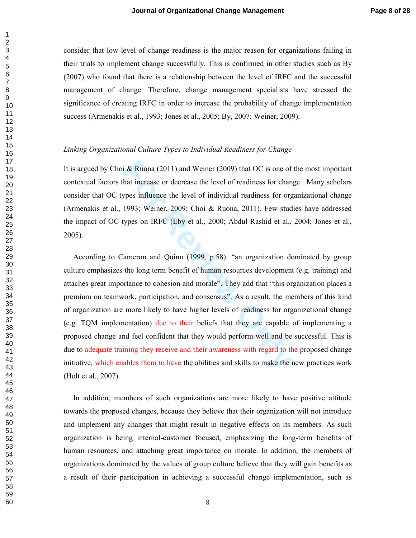consider that low level of change readiness is the major reason for organizations failing in their trials to implement change successfully. This is confirmed in other studies such as By (2007) who found that there is a relationship between the level of IRFC and the successful management of change. Therefore, change management specialists have stressed the significance of creating IRFC in order to increase the probability of change implementation success (Armenakis et al., 1993; Jones et al., 2005; By, 2007; Weiner, 2009).

## *Linking Organizational Culture Types to Individual Readiness for Change*

It is argued by Choi & Ruona (2011) and Weiner (2009) that OC is one of the most important contextual factors that increase or decrease the level of readiness for change. Many scholars consider that OC types influence the level of individual readiness for organizational change (Armenakis et al., 1993; Weiner **,** 2009; Choi & Ruona, 2011). Few studies have addressed the impact of OC types on IRFC (Eby et al., 2000; Abdul Rashid et al., 2004; Jones et al., 2005).

i & Ruona (2011) and Weiner (2009) that OC is one of<br>hat increase or decrease the level of readiness for chan<br>ypes influence the level of individual readiness for org<br>1993; Weiner, 2009; Choi & Ruona, 2011). Few stud<br>types According to Cameron and Quinn (1999, p.58): "an organization dominated by group culture emphasizes the long term benefit of human resources development (e.g. training) and attaches great importance to cohesion and morale". They add that "this organization places a premium on teamwork, participation, and consensus". As a result, the members of this kind of organization are more likely to have higher levels of readiness for organizational change (e.g. TQM implementation) due to their beliefs that they are capable of implementing a proposed change and feel confident that they would perform well and be successful. This is due to adequate training they receive and their awareness with regard to the proposed change initiative, which enables them to have the abilities and skills to make the new practices work (Holt et al., 2007).

 In addition, members of such organizations are more likely to have positive attitude towards the proposed changes, because they believe that their organization will not introduce and implement any changes that might result in negative effects on its members. As such organization is being internal-customer focused, emphasizing the long-term benefits of human resources, and attaching great importance on morale. In addition, the members of organizations dominated by the values of group culture believe that they will gain benefits as a result of their participation in achieving a successful change implementation, such as

 $\mathbf{1}$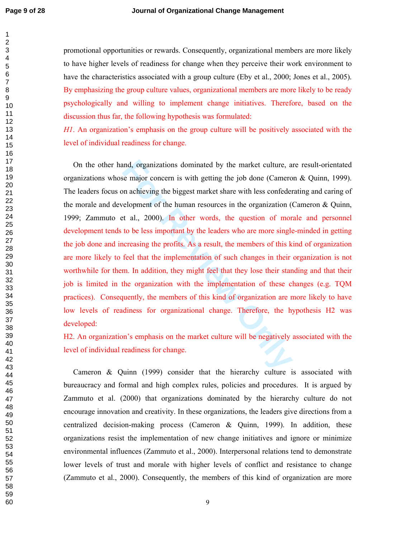$\mathbf{1}$  $\overline{2}$ 

promotional opportunities or rewards. Consequently, organizational members are more likely to have higher levels of readiness for change when they perceive their work environment to have the characteristics associated with a group culture (Eby et al., 2000; Jones et al., 2005). By emphasizing the group culture values, organizational members are more likely to be ready psychologically and willing to implement change initiatives. Therefore, based on the discussion thus far, the following hypothesis was formulated:

*H1*. An organization's emphasis on the group culture will be positively associated with the level of individual readiness for change.

and, organizations dominated by the market culture, a<br>se major concern is with getting the job done (Camero<br>m achieving the biggest market share with less confeder<br>relopment of the human resources in the organization (of<br>t On the other hand, organizations dominated by the market culture, are result-orientated organizations whose major concern is with getting the job done (Cameron & Quinn, 1999). The leaders focus on achieving the biggest market share with less confederating and caring of the morale and development of the human resources in the organization (Cameron & Quinn, 1999; Zammuto et al., 2000). In other words, the question of morale and personnel development tends to be less important by the leaders who are more single-minded in getting the job done and increasing the profits. As a result, the members of this kind of organization are more likely to feel that the implementation of such changes in their organization is not worthwhile for them. In addition, they might feel that they lose their standing and that their job is limited in the organization with the implementation of these changes (e.g. TQM practices). Consequently, the members of this kind of organization are more likely to have low levels of readiness for organizational change. Therefore, the hypothesis H2 was developed:

H2. An organization's emphasis on the market culture will be negatively associated with the level of individual readiness for change.

 Cameron & Quinn (1999) consider that the hierarchy culture is associated with bureaucracy and formal and high complex rules, policies and procedures. It is argued by Zammuto et al. (2000) that organizations dominated by the hierarchy culture do not encourage innovation and creativity. In these organizations, the leaders give directions from a centralized decision-making process (Cameron & Quinn, 1999). In addition, these organizations resist the implementation of new change initiatives and ignore or minimize environmental influences (Zammuto et al., 2000). Interpersonal relations tend to demonstrate lower levels of trust and morale with higher levels of conflict and resistance to change (Zammuto et al., 2000). Consequently, the members of this kind of organization are more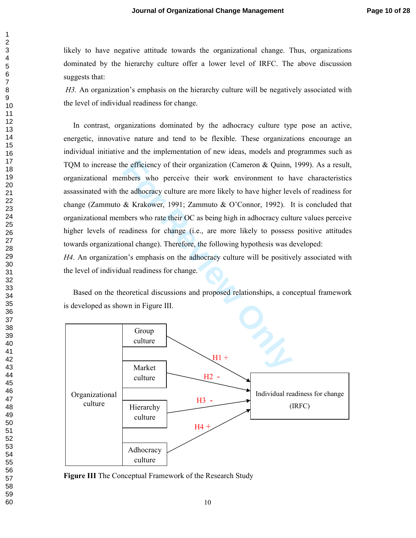likely to have negative attitude towards the organizational change. Thus, organizations dominated by the hierarchy culture offer a lower level of IRFC. The above discussion suggests that:

*H3.* An organization's emphasis on the hierarchy culture will be negatively associated with the level of individual readiness for change.

The efficiency of their organization (Cameron & Quinn,<br>
mbers who perceive their work environment to have<br>
he adhocracy culture are more likely to have higher lev<br>
& Krakower, 1991; Zammuto & O'Connor, 1992). I<br>
nbers who In contrast, organizations dominated by the adhocracy culture type pose an active, energetic, innovative nature and tend to be flexible. These organizations encourage an individual initiative and the implementation of new ideas, models and programmes such as TQM to increase the efficiency of their organization (Cameron & Quinn, 1999). As a result, organizational members who perceive their work environment to have characteristics assassinated with the adhocracy culture are more likely to have higher levels of readiness for change (Zammuto & Krakower, 1991; Zammuto & O'Connor, 1992). It is concluded that organizational members who rate their OC as being high in adhocracy culture values perceive higher levels of readiness for change (i.e., are more likely to possess positive attitudes towards organizational change). Therefore, the following hypothesis was developed:

*H4*. An organization's emphasis on the adhocracy culture will be positively associated with the level of individual readiness for change.

 Based on the theoretical discussions and proposed relationships, a conceptual framework is developed as shown in Figure III.



**Figure III** The Conceptual Framework of the Research Study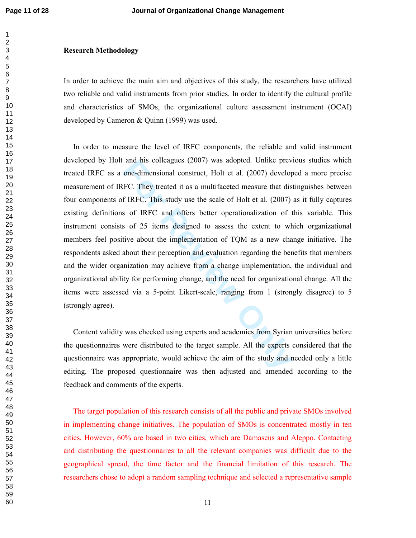#### **Research Methodology**

In order to achieve the main aim and objectives of this study, the researchers have utilized two reliable and valid instruments from prior studies. In order to identify the cultural profile and characteristics of SMOs, the organizational culture assessment instrument (OCAI) developed by Cameron & Quinn (1999) was used.

and his colleagues (2007) was adopted. Unlike prev<br>one-dimensional construct, Holt et al. (2007) develop<br>IFC. They treated it as a multifaceted measure that dis<br>f IRFC. This study use the scale of Holt et al. (2007)<br>s of I In order to measure the level of IRFC components, the reliable and valid instrument developed by Holt and his colleagues (2007) was adopted. Unlike previous studies which treated IRFC as a one-dimensional construct, Holt et al. (2007) developed a more precise measurement of IRFC. They treated it as a multifaceted measure that distinguishes between four components of IRFC. This study use the scale of Holt et al. (2007) as it fully captures existing definitions of IRFC and offers better operationalization of this variable. This instrument consists of 25 items designed to assess the extent to which organizational members feel positive about the implementation of TQM as a new change initiative. The respondents asked about their perception and evaluation regarding the benefits that members and the wider organization may achieve from a change implementation, the individual and organizational ability for performing change, and the need for organizational change. All the items were assessed via a 5-point Likert-scale, ranging from 1 (strongly disagree) to 5 (strongly agree).

 Content validity was checked using experts and academics from Syrian universities before the questionnaires were distributed to the target sample. All the experts considered that the questionnaire was appropriate, would achieve the aim of the study and needed only a little editing. The proposed questionnaire was then adjusted and amended according to the feedback and comments of the experts.

 The target population of this research consists of all the public and private SMOs involved in implementing change initiatives. The population of SMOs is concentrated mostly in ten cities. However, 60% are based in two cities, which are Damascus and Aleppo. Contacting and distributing the questionnaires to all the relevant companies was difficult due to the geographical spread, the time factor and the financial limitation of this research. The researchers chose to adopt a random sampling technique and selected a representative sample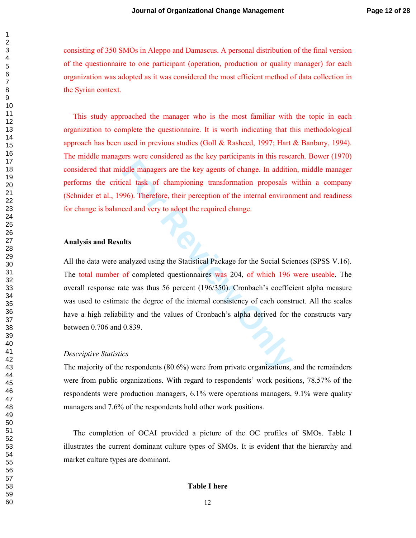consisting of 350 SMOs in Aleppo and Damascus. A personal distribution of the final version of the questionnaire to one participant (operation, production or quality manager) for each organization was adopted as it was considered the most efficient method of data collection in the Syrian context.

 This study approached the manager who is the most familiar with the topic in each organization to complete the questionnaire. It is worth indicating that this methodological approach has been used in previous studies (Goll & Rasheed, 1997; Hart & Banbury, 1994). The middle managers were considered as the key participants in this research. Bower (1970) considered that middle managers are the key agents of change. In addition, middle manager performs the critical task of championing transformation proposals within a company (Schnider et al., 1996). Therefore, their perception of the internal environment and readiness for change is balanced and very to adopt the required change.

#### **Analysis and Results**

ddle managers are the key agents of change. In additio<br>cal task of championing transformation proposals v<br>96). Therefore, their perception of the internal environ<br>ced and very to adopt the required change.<br>**Its**<br>nalyzed us All the data were analyzed using the Statistical Package for the Social Sciences (SPSS V.16). The total number of completed questionnaires was 204, of which 196 were useable. The overall response rate was thus 56 percent (196/350). Cronbach's coefficient alpha measure was used to estimate the degree of the internal consistency of each construct. All the scales have a high reliability and the values of Cronbach's alpha derived for the constructs vary between 0.706 and 0.839.

#### *Descriptive Statistics*

The majority of the respondents (80.6%) were from private organizations, and the remainders were from public organizations. With regard to respondents' work positions, 78.57% of the respondents were production managers, 6.1% were operations managers, 9.1% were quality managers and 7.6% of the respondents hold other work positions.

 The completion of OCAI provided a picture of the OC profiles of SMOs. Table I illustrates the current dominant culture types of SMOs. It is evident that the hierarchy and market culture types are dominant.

#### **Table I here**

 $\mathbf{1}$  $\overline{2}$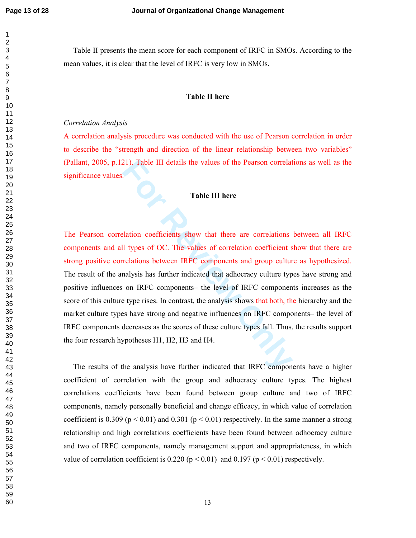$\mathbf{1}$  $\overline{2}$ 

 Table II presents the mean score for each component of IRFC in SMOs. According to the mean values, it is clear that the level of IRFC is very low in SMOs.

## **Table II here**

### *Correlation Analysis*

A correlation analysis procedure was conducted with the use of Pearson correlation in order to describe the "strength and direction of the linear relationship between two variables" (Pallant, 2005, p.121). Table III details the values of the Pearson correlations as well as the significance values.

## **Table III here**

21). Table III details the values of the Pearson correlat<br> **Fable III here**<br> **Fable III here**<br> **Fable III here**<br> **Fable III here**<br> **Fable III here**<br> **Fable III here**<br> **Fable III here**<br> **Fable III here**<br> **Fable III here**<br> The Pearson correlation coefficients show that there are correlations between all IRFC components and all types of OC. The values of correlation coefficient show that there are strong positive correlations between IRFC components and group culture as hypothesized. The result of the analysis has further indicated that adhocracy culture types have strong and positive influences on IRFC components– the level of IRFC components increases as the score of this culture type rises. In contrast, the analysis shows that both, the hierarchy and the market culture types have strong and negative influences on IRFC components– the level of IRFC components decreases as the scores of these culture types fall. Thus, the results support the four research hypotheses H1, H2, H3 and H4.

 The results of the analysis have further indicated that IRFC components have a higher coefficient of correlation with the group and adhocracy culture types. The highest correlations coefficients have been found between group culture and two of IRFC components, namely personally beneficial and change efficacy, in which value of correlation coefficient is  $0.309$  (p < 0.01) and  $0.301$  (p < 0.01) respectively. In the same manner a strong relationship and high correlations coefficients have been found between adhocracy culture and two of IRFC components, namely management support and appropriateness, in which value of correlation coefficient is  $0.220$  ( $p < 0.01$ ) and  $0.197$  ( $p < 0.01$ ) respectively.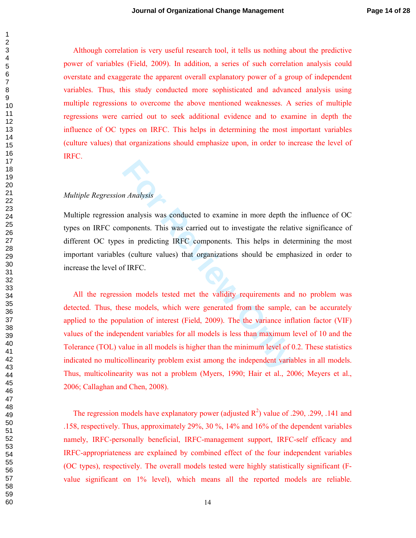Although correlation is very useful research tool, it tells us nothing about the predictive power of variables (Field, 2009). In addition, a series of such correlation analysis could overstate and exaggerate the apparent overall explanatory power of a group of independent variables. Thus, this study conducted more sophisticated and advanced analysis using multiple regressions to overcome the above mentioned weaknesses. A series of multiple regressions were carried out to seek additional evidence and to examine in depth the influence of OC types on IRFC. This helps in determining the most important variables (culture values) that organizations should emphasize upon, in order to increase the level of IRFC.

# *Multiple Regression Analysis*

Multiple regression analysis was conducted to examine in more depth the influence of OC types on IRFC components. This was carried out to investigate the relative significance of different OC types in predicting IRFC components. This helps in determining the most important variables (culture values) that organizations should be emphasized in order to increase the level of IRFC.

*n Analysis*<br> **For Analysis was conducted to examine in more depth the mponents.** This was carried out to investigate the relat<br> **For Formal Solution** IRFC components. This helps in det<br> **FIRFC.**<br> **FIRFC.**<br> **FIRFC.**<br> **FIRF**  All the regression models tested met the validity requirements and no problem was detected. Thus, these models, which were generated from the sample, can be accurately applied to the population of interest (Field, 2009). The the variance inflation factor (VIF) values of the independent variables for all models is less than maximum level of 10 and the Tolerance (TOL) value in all models is higher than the minimum level of 0.2. These statistics indicated no multicollinearity problem exist among the independent variables in all models. Thus, multicolinearity was not a problem (Myers, 1990; Hair et al., 2006; Meyers et al., 2006; Callaghan and Chen, 2008).

The regression models have explanatory power (adjusted  $R^2$ ) value of .290, .299, .141 and .158, respectively. Thus, approximately 29%, 30 %, 14% and 16% of the dependent variables namely, IRFC-personally beneficial, IRFC-management support, IRFC-self efficacy and IRFC-appropriateness are explained by combined effect of the four independent variables (OC types), respectively. The overall models tested were highly statistically significant (Fvalue significant on 1% level), which means all the reported models are reliable.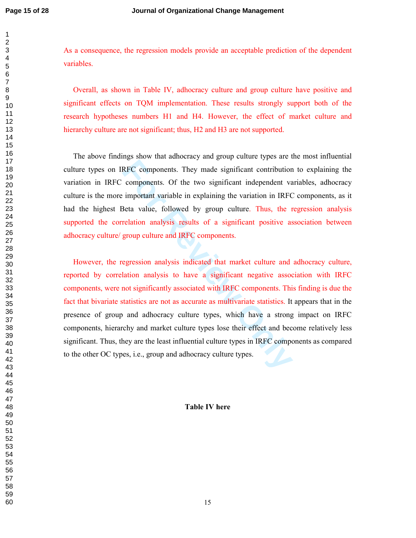As a consequence, the regression models provide an acceptable prediction of the dependent variables.

 Overall, as shown in Table IV, adhocracy culture and group culture have positive and significant effects on TQM implementation. These results strongly support both of the research hypotheses numbers H1 and H4. However, the effect of market culture and hierarchy culture are not significant; thus, H<sub>2</sub> and H<sub>3</sub> are not supported.

 The above findings show that adhocracy and group culture types are the most influential culture types on IRFC components. They made significant contribution to explaining the variation in IRFC components. Of the two significant independent variables, adhocracy culture is the more important variable in explaining the variation in IRFC components, as it had the highest Beta value, followed by group culture. Thus, the regression analysis supported the correlation analysis results of a significant positive association between adhocracy culture/ group culture and IRFC components.

EXEC components. They made significant contribution<br>components. Of the two significant independent va<br>important variable in explaining the variation in IRFC<br>Beta value, followed by group culture. Thus, the r<br>relation analy However, the regression analysis indicated that market culture and adhocracy culture, reported by correlation analysis to have a significant negative association with IRFC components, were not significantly associated with IRFC components. This finding is due the fact that bivariate statistics are not as accurate as multivariate statistics. It appears that in the presence of group and adhocracy culture types, which have a strong impact on IRFC components, hierarchy and market culture types lose their effect and become relatively less significant. Thus, they are the least influential culture types in IRFC components as compared to the other OC types, i.e., group and adhocracy culture types.

#### **Table IV here**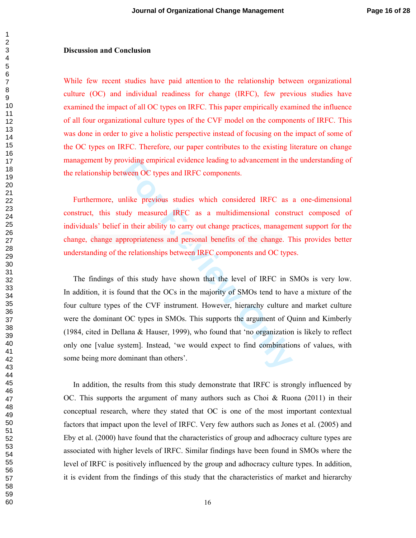#### **Discussion and Conclusion**

While few recent studies have paid attention to the relationship between organizational culture (OC) and individual readiness for change (IRFC), few previous studies have examined the impact of all OC types on IRFC. This paper empirically examined the influence of all four organizational culture types of the CVF model on the components of IRFC. This was done in order to give a holistic perspective instead of focusing on the impact of some of the OC types on IRFC. Therefore, our paper contributes to the existing literature on change management by providing empirical evidence leading to advancement in the understanding of the relationship between OC types and IRFC components.

 Furthermore, unlike previous studies which considered IRFC as a one-dimensional construct, this study measured IRFC as a multidimensional construct composed of individuals' belief in their ability to carry out change practices, management support for the change, change appropriateness and personal benefits of the change. This provides better understanding of the relationships between IRFC components and OC types.

by a symplement evidence leading to advancement in travel of types and IRFC components.<br>
Filike previous studies which considered IRFC as<br>
ady measured IRFC as a multidimensional constrain<br>
tin their ability to carry out c The findings of this study have shown that the level of IRFC in SMOs is very low. In addition, it is found that the OCs in the majority of SMOs tend to have a mixture of the four culture types of the CVF instrument. However, hierarchy culture and market culture were the dominant OC types in SMOs. This supports the argument of Quinn and Kimberly (1984, cited in Dellana & Hauser, 1999), who found that 'no organization is likely to reflect only one [value system]. Instead, 'we would expect to find combinations of values, with some being more dominant than others'.

 In addition, the results from this study demonstrate that IRFC is strongly influenced by OC. This supports the argument of many authors such as Choi & Ruona  $(2011)$  in their conceptual research, where they stated that OC is one of the most important contextual factors that impact upon the level of IRFC. Very few authors such as Jones et al. (2005) and Eby et al. (2000) have found that the characteristics of group and adhocracy culture types are associated with higher levels of IRFC. Similar findings have been found in SMOs where the level of IRFC is positively influenced by the group and adhocracy culture types. In addition, it is evident from the findings of this study that the characteristics of market and hierarchy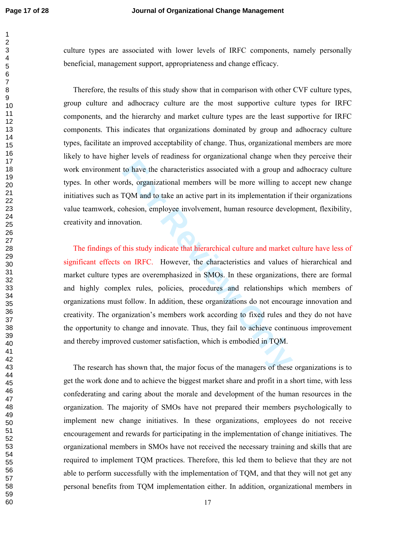$\mathbf{1}$  $\overline{2}$ 

culture types are associated with lower levels of IRFC components, namely personally beneficial, management support, appropriateness and change efficacy.

 Therefore, the results of this study show that in comparison with other CVF culture types, group culture and adhocracy culture are the most supportive culture types for IRFC components, and the hierarchy and market culture types are the least supportive for IRFC components. This indicates that organizations dominated by group and adhocracy culture types, facilitate an improved acceptability of change. Thus, organizational members are more likely to have higher levels of readiness for organizational change when they perceive their work environment to have the characteristics associated with a group and adhocracy culture types. In other words, organizational members will be more willing to accept new change initiatives such as TQM and to take an active part in its implementation if their organizations value teamwork, cohesion, employee involvement, human resource development, flexibility, creativity and innovation.

to have the characteristics associated with a group and<br>rds, organizational members will be more willing to a<br>FQM and to take an active part in its implementation if<br>bhesion, employee involvement, human resource devel-<br>vat The findings of this study indicate that hierarchical culture and market culture have less of significant effects on IRFC. However, the characteristics and values of hierarchical and market culture types are overemphasized in SMOs. In these organizations, there are formal and highly complex rules, policies, procedures and relationships which members of organizations must follow. In addition, these organizations do not encourage innovation and creativity. The organization's members work according to fixed rules and they do not have the opportunity to change and innovate. Thus, they fail to achieve continuous improvement and thereby improved customer satisfaction, which is embodied in TQM.

 The research has shown that, the major focus of the managers of these organizations is to get the work done and to achieve the biggest market share and profit in a short time, with less confederating and caring about the morale and development of the human resources in the organization. The majority of SMOs have not prepared their members psychologically to implement new change initiatives. In these organizations, employees do not receive encouragement and rewards for participating in the implementation of change initiatives. The organizational members in SMOs have not received the necessary training and skills that are required to implement TQM practices. Therefore, this led them to believe that they are not able to perform successfully with the implementation of TQM, and that they will not get any personal benefits from TQM implementation either. In addition, organizational members in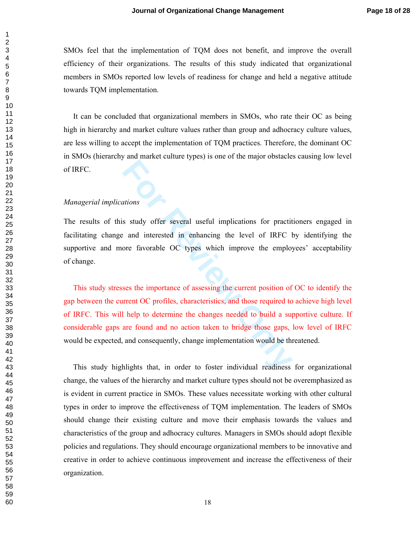SMOs feel that the implementation of TQM does not benefit, and improve the overall efficiency of their organizations. The results of this study indicated that organizational members in SMOs reported low levels of readiness for change and held a negative attitude towards TQM implementation.

 It can be concluded that organizational members in SMOs, who rate their OC as being high in hierarchy and market culture values rather than group and adhocracy culture values, are less willing to accept the implementation of TQM practices. Therefore, the dominant OC in SMOs (hierarchy and market culture types) is one of the major obstacles causing low level of IRFC.

# *Managerial implications*

The results of this study offer several useful implications for practitioners engaged in facilitating change and interested in enhancing the level of IRFC by identifying the supportive and more favorable OC types which improve the employees' acceptability of change.

*For Sexeral* useful implications for practic<br> **For Sexeral Analytical Sexeral useful implications for practic**<br> **For Example 1998** and interested in enhancing the level of IRFC love<br> **For Example 1998** and importance of a This study stresses the importance of assessing the current position of OC to identify the gap between the current OC profiles, characteristics, and those required to achieve high level of IRFC. This will help to determine the changes needed to build a supportive culture. If considerable gaps are found and no action taken to bridge those gaps, low level of IRFC would be expected, and consequently, change implementation would be threatened.

 This study highlights that, in order to foster individual readiness for organizational change, the values of the hierarchy and market culture types should not be overemphasized as is evident in current practice in SMOs. These values necessitate working with other cultural types in order to improve the effectiveness of TQM implementation. The leaders of SMOs should change their existing culture and move their emphasis towards the values and characteristics of the group and adhocracy cultures. Managers in SMOs should adopt flexible policies and regulations. They should encourage organizational members to be innovative and creative in order to achieve continuous improvement and increase the effectiveness of their organization.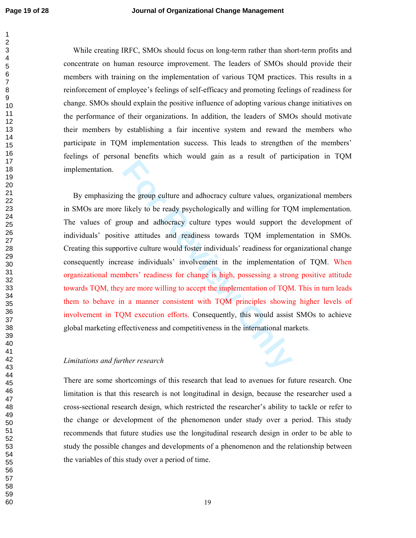While creating IRFC, SMOs should focus on long-term rather than short-term profits and concentrate on human resource improvement. The leaders of SMOs should provide their members with training on the implementation of various TQM practices. This results in a reinforcement of employee's feelings of self-efficacy and promoting feelings of readiness for change. SMOs should explain the positive influence of adopting various change initiatives on the performance of their organizations. In addition, the leaders of SMOs should motivate their members by establishing a fair incentive system and reward the members who participate in TQM implementation success. This leads to strengthen of the members' feelings of personal benefits which would gain as a result of participation in TQM implementation.

the group culture and adhocracy culture values, organalikely to be ready psychologically and willing for TQ oup and adhocracy culture types would support the attitudes and readiness towards TQM implementrive culture would By emphasizing the group culture and adhocracy culture values, organizational members in SMOs are more likely to be ready psychologically and willing for TQM implementation. The values of group and adhocracy culture types would support the development of individuals' positive attitudes and readiness towards TQM implementation in SMOs. Creating this supportive culture would foster individuals' readiness for organizational change consequently increase individuals' involvement in the implementation of TQM. When organizational members' readiness for change is high, possessing a strong positive attitude towards TQM, they are more willing to accept the implementation of TQM. This in turn leads them to behave in a manner consistent with TQM principles showing higher levels of involvement in TQM execution efforts. Consequently, this would assist SMOs to achieve global marketing effectiveness and competitiveness in the international markets .

## *Limitations and further research*

There are some shortcomings of this research that lead to avenues for future research. One limitation is that this research is not longitudinal in design, because the researcher used a cross-sectional research design, which restricted the researcher's ability to tackle or refer to the change or development of the phenomenon under study over a period. This study recommends that future studies use the longitudinal research design in order to be able to study the possible changes and developments of a phenomenon and the relationship between the variables of this study over a period of time.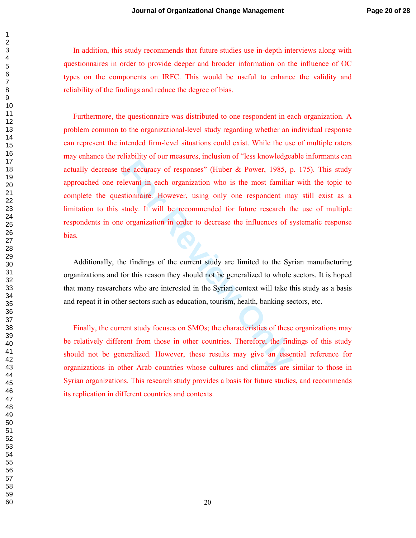In addition, this study recommends that future studies use in-depth interviews along with questionnaires in order to provide deeper and broader information on the influence of OC types on the components on IRFC. This would be useful to enhance the validity and reliability of the findings and reduce the degree of bias.

the accuracy of responses" (Huber & Power, 1985, p<br>levant in each organization who is the most familian<br>stionnaire. However, using only one respondent ma<br>study. It will be recommended for future research the<br>organization i Furthermore, the questionnaire was distributed to one respondent in each organization. A problem common to the organizational-level study regarding whether an individual response can represent the intended firm-level situations could exist. While the use of multiple raters may enhance the reliability of our measures, inclusion of "less knowledgeable informants can actually decrease the accuracy of responses" (Huber & Power, 1985, p. 175). This study approached one relevant in each organization who is the most familiar with the topic to complete the questionnaire. However, using only one respondent may still exist as a limitation to this study. It will be recommended for future research the use of multiple respondents in one organization in order to decrease the influences of systematic response bias.

 Additionally, the findings of the current study are limited to the Syrian manufacturing organizations and for this reason they should not be generalized to whole sectors. It is hoped that many researchers who are interested in the Syrian context will take this study as a basis and repeat it in other sectors such as education, tourism, health, banking sectors, etc.

 Finally, the current study focuses on SMOs; the characteristics of these organizations may be relatively different from those in other countries. Therefore, the findings of this study should not be generalized. However, these results may give an essential reference for organizations in other Arab countries whose cultures and climates are similar to those in Syrian organizations. This research study provides a basis for future studies, and recommends its replication in different countries and contexts.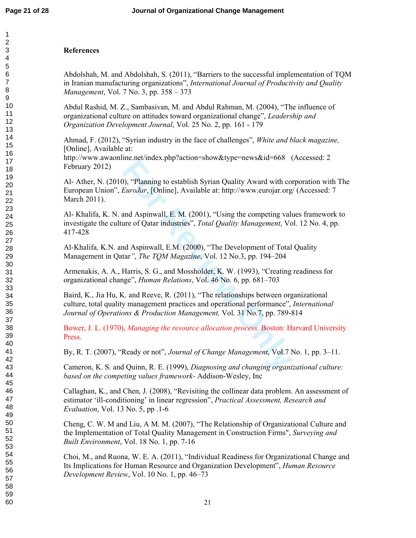# **References**

Abdolshah, M. and Abdolshah, S. (2011), "Barriers to the successful implementation of TQM in Iranian manufacturing organizations", *International Journal of Productivity and Quality Management*, Vol. 7 No. 3, pp. 358 – 373

Abdul Rashid, M. Z., Sambasivan, M. and Abdul Rahman, M. (2004), "The influence of organizational culture on attitudes toward organizational change", *Leadership and Organization Development Journal*, Vol. 25 No. 2, pp. 161 - 179

Ahmad, F. (2012), "Syrian industry in the face of challenges", *White and black magazine,* [Online], Available at:

http://www.awaonline.net/index.php?action=show&type=news&id=668 (Accessed: 2 February 2012)

**For Fig. 10** (**For Fig. 10** (**For Fig. 10** (**For Fig. 10** (**For Fig. 10** (**For Fig. 10** (**For Fig. 10** (**For Fig. 10** (**For Fig. 10** (**For Fig. 10** (**For Fig. 10** (**For Fig. 10** (**For Fig. 10** (**For Fig. 10** (**For Fig. 10** Al- Ather, N. (2010), "Planning to establish Syrian Quality Award with corporation with The European Union", *EuroJar*, [Online], Available at: http://www.eurojar.org/ (Accessed: 7 March 2011).

Al- Khalifa, K. N. and Aspinwall, E. M. (2001), "Using the competing values framework to investigate the culture of Qatar industries", *Total Quality Management*, Vol. 12 No. 4, pp. 417-428

Al *-*Khalifa*,* K.N. and Aspinwall, E.M. (2000), "The Development of Total Quality Management in Qatar *"*, *The TQM Magazine*, Vol. 12 No.3, pp. 194–204

Armenakis, A. A., Harris, S. G., and Mossholder, K. W. (1993), "Creating readiness for organizational change", *Human Relations*, Vol. 46 No. 6, pp. 681–703

Baird, K., Jia Hu, K. and Reeve, R. (2011), "The relationships between organizational culture, total quality management practices and operational performance", *International Journal of Operations & Production Management,* Vol. 31 No.7, pp. 789-814

Bower, J. L. (1970), *Managing the resource allocation process.* Boston: Harvard University Press.

By, R. T. (2007), "Ready or not", *Journal of Change Management*, Vol.7 No. 1, pp. 3–11.

Cameron, K. S. and Quinn, R. E. (1999), *Diagnosing and changing organizational culture: based on the competing values framework-* Addison-Wesley, Inc

Callaghan, K., and Chen, J. (2008), "Revisiting the collinear data problem. An assessment of estimator 'ill-conditioning' in linear regression", *Practical Assessment, Research and Evaluation*, Vol. 13 No. 5, pp .1-6

Cheng, C. W. M and Liu, A M. M. (2007), "The Relationship of Organizational Culture and the Implementation of Total Quality Management in Construction Firms", *Surveying and Built Environment*, Vol. 18 No. 1, pp. 7-16

Choi, M., and Ruona, W. E. A. (2011), "Individual Readiness for Organizational Change and Its Implications for Human Resource and Organization Development", *Human Resource Development Review*, Vol. 10 No. 1, pp. 46–73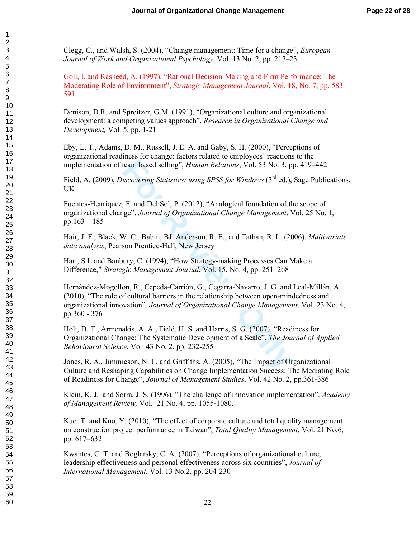Clegg, C., and Walsh, S. (2004), "Change management: Time for a change", *European Journal of Work and Organizational Psychology,* Vol. 13 No. 2, pp. 217–23

Goll, I. and Rasheed, A. (1997), "Rational Decision-Making and Firm Performance: The Moderating Role of Environment", *Strategic Management Journal*, Vol. 18, No. 7, pp. 583- 591

Denison, D.R. and Spreitzer, G.M. (1991), "Organizational culture and organizational development: a competing values approach", *Research in Organizational Change and Development,* Vol. 5, pp. 1-21

Eby, L. T., Adams, D. M., Russell, J. E. A. and Gaby, S. H. (2000), "Perceptions of organizational readiness for change: factors related to employees' reactions to the implementation of team based selling", *Human Relations*, Vol. 53 No. 3, pp. 419–442

Field, A. (2009), *Discovering Statistics: using SPSS for Windows* (3rd ed.), Sage Publications, UK

Fuentes-Henríquez, F. and Del Sol, P. (2012), "Analogical foundation of the scope of organizational change", *Journal of Organizational Change Management*, Vol. 25 No. 1, pp.163 – 185

Hair, J. F., Black, W. C., Babin, BJ, Anderson, R. E., and Tathan, R. L. (2006), *Multivariate data analysis*, Pearson Prentice-Hall, New Jersey

Hart, S.L and Banbury, C. (1994), "How Strategy-making Processes Can Make a Difference," *Strategic Management Journal*, Vol. 15, No. 4, pp. 251–268

team based selling", *Human Relations*, Vol. 53 No. 3, p<br>iscovering Statistics: using SPSS for Windows (3<sup>rd</sup> ed.),<br>F. and Del Sol, P. (2012), "Analogical foundation of th<br>ge", *Journal of Organizational Change Management* Hernández-Mogollon, R., Cepeda-Carrión, G., Cegarra-Navarro, J. G. and Leal-Millán, A. (2010), "The role of cultural barriers in the relationship between open-mindedness and organizational innovation", *Journal of Organizational Change Management*, Vol. 23 No. 4, pp.360 - 376

Holt, D. T., Armenakis, A. A., Field, H. S. and Harris, S. G. (2007), "Readiness for Organizational Change: The Systematic Development of a Scale", *The Journal of Applied Behavioural Science*, Vol. 43 No. 2, pp. 232-255

Jones, R. A., Jimmieson, N. L. and Griffiths, A. (2005), "The Impact of Organizational Culture and Reshaping Capabilities on Change Implementation Success: The Mediating Role of Readiness for Change", *Journal of Management Studies*, Vol. 42 No. 2, pp.361-386

Klein, K. J. and Sorra, J. S. (1996), "The challenge of innovation implementation". *Academy of Management Review,* Vol. 21 No. 4, pp. 1055-1080.

Kuo, T. and Kuo, Y. (2010), "The effect of corporate culture and total quality management on construction project performance in Taiwan", *Total Quality Management*, Vol. 21 No.6, pp. 617–632

Kwantes, C. T. and Boglarsky, C. A. (2007), "Perceptions of organizational culture, leadership effectiveness and personal effectiveness across six countries", *Journal of International Management*, Vol. 13 No.2, pp. 204-230

 $\mathbf{1}$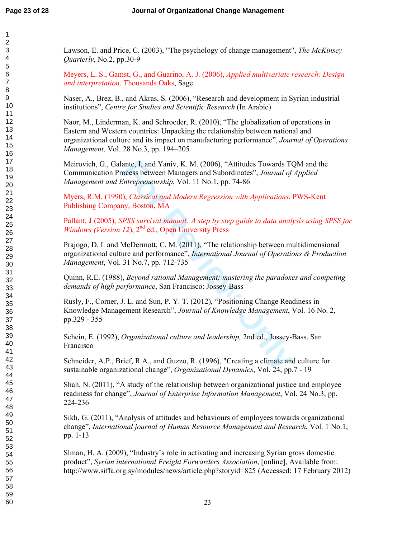123456789

Lawson, E. and Price, C. (2003), "The psychology of change management", *The McKinsey Quarterly*, No.2, pp.30-9

Meyers, L. S., Gamst, G., and Guarino, A. J. (2006), *Applied multivariate research: Design and interpretation*. Thousands Oaks, Sage

Naser, A., Brez, B., and Akras, S. (2006), "Research and development in Syrian industrial institutions", *Centre for Studies and Scientific Research* (In Arabic)

Naor, M., Linderman, K. and Schroeder, R. (2010), "The globalization of operations in Eastern and Western countries: Unpacking the relationship between national and organizational culture and its impact on manufacturing performance", *Journal of Operations Management,* Vol. 28 No.3, pp. 194–205

Meirovich, G., Galante, I, and Yaniv, K. M. (2006), "Attitudes Towards TQM and the Communication Process between Managers and Subordinates", *Journal of Applied Management and Entrepreneurship*, Vol. 11 No.1, pp. 74-86

Myers, R.M. (1990), *Classical and Modern Regression with Applications*, PWS-Kent Publishing Company, Boston, MA

Pallant, J (2005), *SPSS survival manual: A step by step guide to data analysis using SPSS for Windows (Version 12)*, 2<sup>nd</sup> ed., Open University Press

ante, I, and Yaniv, K. M. (2006), "Attitudes Towards To<br>ocess between Managers and Subordinates", *Journal of*<br>ortrepreneurship, Vol. 11 No.1, pp. 74-86<br>), *Classical and Modern Regression with Applications*,<br>iy, Boston, M Prajogo, D. I. and McDermott, C. M. (2011), "The relationship between multidimensional organizational culture and performance", *International Journal of Operations & Production Management*, Vol. 31 No.7, pp. 712-735

Quinn, R.E. (1988), *Beyond rational Management: mastering the paradoxes and competing demands of high performance*, San Francisco: Jossey-Bass

Rusly, F., Corner, J. L. and Sun, P. Y. T. (2012), "Positioning Change Readiness in Knowledge Management Research", *Journal of Knowledge Management*, Vol. 16 No. 2, pp.329 - 355

Schein, E. (1992), *Organizational culture and leadership,* 2nd ed., Jossey-Bass, San Francisco

Schneider, A.P., Brief, R.A., and Guzzo, R. (1996), "Creating a climate and culture for sustainable organizational change", *Organizational Dynamics*, Vol. 24, pp.7 - 19

Shah, N. (2011), "A study of the relationship between organizational justice and employee readiness for change", *Journal of Enterprise Information Management*, Vol. 24 No.3, pp. 224-236

Sikh, G. (2011), "Analysis of attitudes and behaviours of employees towards organizational change", *International journal of Human Resource Management and Research*, Vol. 1 No.1, pp. 1-13

Slman, H. A. (2009), "Industry's role in activating and increasing Syrian gross domestic product", *Syrian international Freight Forwarders Association*, [online], Available from: http://www.siffa.org.sy/modules/news/article.php?storyid=825 (Accessed: 17 February 2012)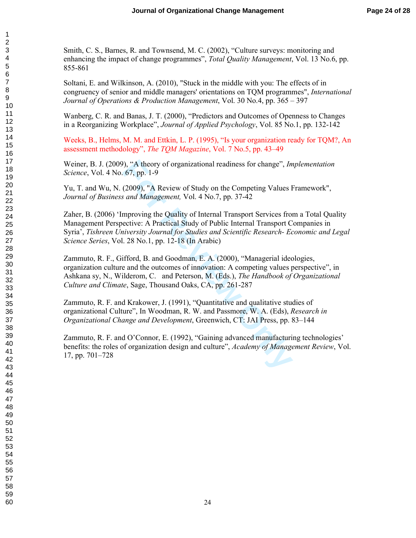Smith, C. S., Barnes, R. and Townsend, M. C. (2002), "Culture surveys: monitoring and enhancing the impact of change programmes", *Total Quality Management*, Vol. 13 No.6, pp. 855-861

Soltani, E. and Wilkinson, A. (2010), "Stuck in the middle with you: The effects of in congruency of senior and middle managers' orientations on TQM programmes", *International Journal of Operations & Production Management*, Vol. 30 No.4, pp. 365 – 397

Wanberg, C. R. and Banas, J. T. (2000), "Predictors and Outcomes of Openness to Changes in a Reorganizing Workplace", *Journal of Applied Psychology*, Vol. 85 No.1, pp. 132-142

Weeks, B., Helms, M. M. and Ettkin, L. P. (1995), "Is your organization ready for TQM?, An assessment methodology", *The TQM Magazine*, Vol. 7 No.5, pp. 43–49

Weiner, B. J. (2009), "A theory of organizational readiness for change", *Implementation Science*, Vol. 4 No. 67, pp. 1-9

Yu, T. and Wu, N. (2009), "A Review of Study on the Competing Values Framework", *Journal of Business and Management,* Vol. 4 No.7, pp. 37-42

), "A theory of organizational readiness for change", *In* 67, pp. 1-9<br>(2009), "A Review of Study on the Competing Values I<br>*s and Management*, Vol. 4 No.7, pp. 37-42<br>mproving the Quality of Internal Transport Services fro Zaher, B. (2006) 'Improving the Quality of Internal Transport Services from a Total Quality Management Perspective: A Practical Study of Public Internal Transport Companies in Syria', *Tishreen University Journal for Studies and Scientific Research- Economic and Legal Science Series*, Vol. 28 No.1, pp. 12-18 (In Arabic)

Zammuto, R. F., Gifford, B. and Goodman, E. A. (2000), "Managerial ideologies, organization culture and the outcomes of innovation: A competing values perspective", in Ashkana sy, N., Wilderom, C. and Peterson, M. (Eds.), *The Handbook of Organizational Culture and Climate*, Sage, Thousand Oaks, CA, pp. 261-287

Zammuto, R. F. and Krakower, J. (1991), "Quantitative and qualitative studies of organizational Culture", In Woodman, R. W. and Passmore, W. A. (Eds), *Research in Organizational Change and Development*, Greenwich, CT: JAI Press, pp. 83–144

Zammuto, R. F. and O'Connor, E. (1992), "Gaining advanced manufacturing technologies' benefits: the roles of organization design and culture", *Academy of Management Review*, Vol. 17, pp. 701–728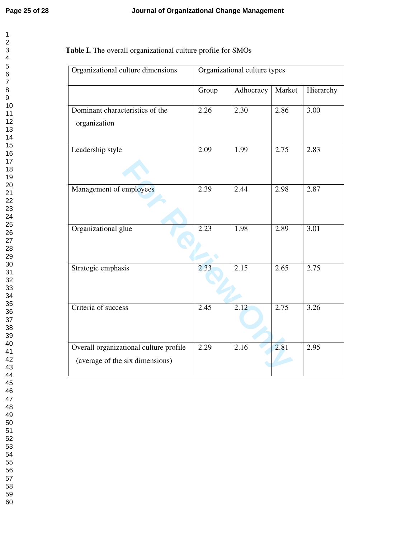| 1                         |
|---------------------------|
|                           |
|                           |
|                           |
|                           |
|                           |
|                           |
|                           |
|                           |
|                           |
|                           |
|                           |
|                           |
|                           |
|                           |
|                           |
|                           |
|                           |
|                           |
|                           |
|                           |
|                           |
|                           |
|                           |
|                           |
|                           |
|                           |
|                           |
|                           |
|                           |
|                           |
|                           |
|                           |
|                           |
|                           |
|                           |
|                           |
|                           |
|                           |
|                           |
|                           |
|                           |
|                           |
|                           |
| $\frac{2}{39}$            |
| 40                        |
| 41                        |
| .<br>42<br>$\overline{ }$ |
| 43                        |
|                           |
| 44                        |
| 45                        |
| 46                        |
| 47                        |
| 48                        |
| 49                        |
| 50                        |
|                           |
| 51                        |
| 52                        |
| 53<br>Ś                   |
| 54                        |
| 55                        |
| 56                        |
|                           |
| 57                        |
| 58                        |
| 59                        |

# **Table I.** The overall organizational culture profile for SMOs

| Organizational culture dimensions                                         | Organizational culture types |           |        |           |  |  |
|---------------------------------------------------------------------------|------------------------------|-----------|--------|-----------|--|--|
|                                                                           | Group                        | Adhocracy | Market | Hierarchy |  |  |
| Dominant characteristics of the<br>organization                           | 2.26                         | 2.30      | 2.86   | 3.00      |  |  |
| Leadership style                                                          | 2.09                         | 1.99      | 2.75   | 2.83      |  |  |
| Management of employees                                                   | 2.39                         | 2.44      | 2.98   | 2.87      |  |  |
| Organizational glue                                                       | 2.23                         | 1.98      | 2.89   | 3.01      |  |  |
| Strategic emphasis                                                        | 2.33                         | 2.15      | 2.65   | 2.75      |  |  |
| Criteria of success                                                       | 2.45                         | 2.12      | 2.75   | 3.26      |  |  |
| Overall organizational culture profile<br>(average of the six dimensions) | 2.29                         | 2.16      | 2.81   | 2.95      |  |  |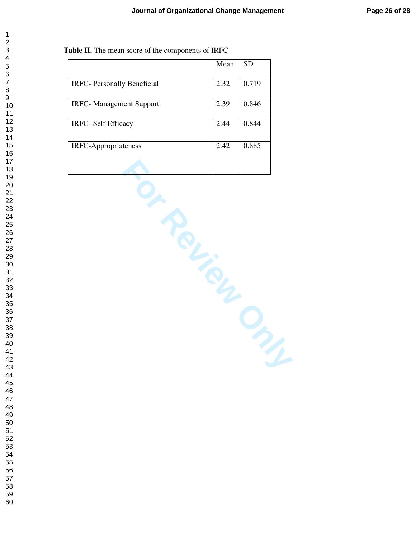|  | <b>Table II.</b> The mean score of the components of IRFC |  |
|--|-----------------------------------------------------------|--|
|  |                                                           |  |

|                                     | Mean | <b>SD</b> |
|-------------------------------------|------|-----------|
| <b>IRFC</b> - Personally Beneficial | 2.32 | 0.719     |
| <b>IRFC-</b> Management Support     | 2.39 | 0.846     |
| <b>IRFC- Self Efficacy</b>          | 2.44 | 0.844     |
| <b>IRFC-Appropriateness</b>         | 2.42 | 0.885     |
|                                     |      |           |

**Fourier Private Private**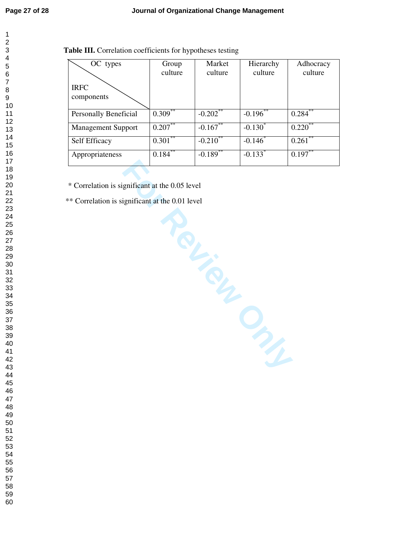| 1              |                         |
|----------------|-------------------------|
| ŗ              |                         |
|                |                         |
|                |                         |
|                |                         |
|                |                         |
|                |                         |
|                |                         |
|                |                         |
|                |                         |
|                |                         |
|                |                         |
|                |                         |
|                |                         |
|                |                         |
|                |                         |
|                |                         |
|                |                         |
|                |                         |
|                |                         |
|                |                         |
|                |                         |
|                |                         |
|                |                         |
|                |                         |
|                |                         |
|                |                         |
|                |                         |
|                |                         |
|                |                         |
|                |                         |
|                |                         |
|                |                         |
|                |                         |
|                |                         |
|                |                         |
|                |                         |
|                |                         |
|                |                         |
|                |                         |
|                |                         |
|                | 40                      |
| 41             |                         |
| 42             |                         |
| $\overline{4}$ | Ś                       |
| 44             |                         |
| 45             |                         |
| 46             |                         |
| 47             |                         |
|                |                         |
| 48<br>49       |                         |
|                |                         |
| 50             |                         |
| Į              | $\mathbf{51}$           |
| ŗ              | $\mathbf{z}$            |
| Ë              | $\overline{\mathbf{3}}$ |
| 54             |                         |
| 55             |                         |
| 56             |                         |
| 57             |                         |

 

| Group      | Market                 | Hierarchy                | Adhocracy    |
|------------|------------------------|--------------------------|--------------|
|            | culture                |                          | culture      |
|            |                        |                          |              |
|            |                        |                          |              |
| $0.309***$ | $-0.202$ <sup>**</sup> | $-0.196$                 | $0.284^{**}$ |
| $0.207***$ | $-0.167$               | $-0.130^*$               | $0.220^{**}$ |
|            |                        | $-0.146$ <sup>*</sup>    | $0.261$ **   |
| 0.184      | $-0.189$ <sup>**</sup> | $-0.133*$                | $0.197***$   |
|            | culture<br>$0.301***$  | $-0.2\overline{10}^{**}$ | culture      |

\* Correlation is significant at the 0.05 level

\*\* Correlation is significant at the 0.01 level

slevel<br>**Pauling Review Clay Concrete**